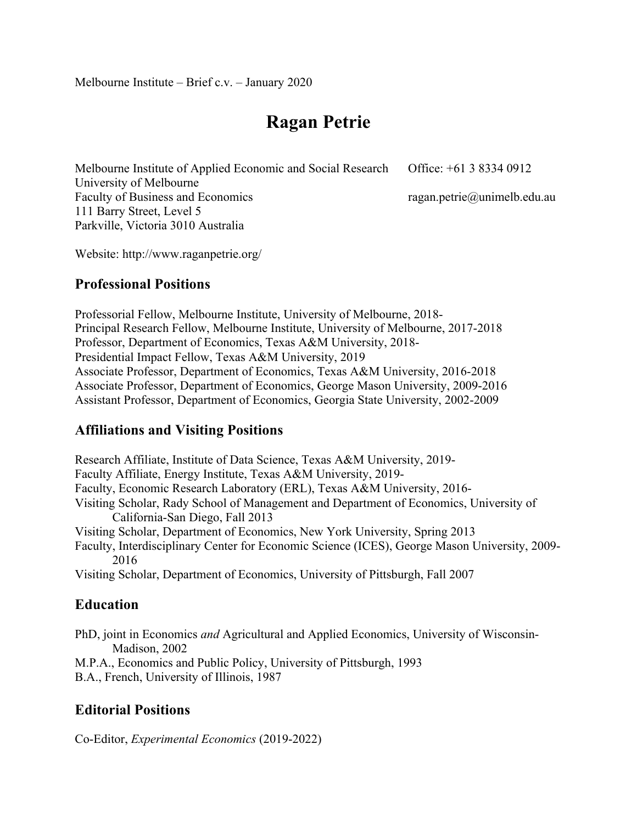# **Ragan Petrie**

Melbourne Institute of Applied Economic and Social Research University of Melbourne Faculty of Business and Economics 111 Barry Street, Level 5 Parkville, Victoria 3010 Australia Office: +61 3 8334 0912 ragan.petrie@unimelb.edu.au

Website: http://www.raganpetrie.org/

# **Professional Positions**

Professorial Fellow, Melbourne Institute, University of Melbourne, 2018- Principal Research Fellow, Melbourne Institute, University of Melbourne, 2017-2018 Professor, Department of Economics, Texas A&M University, 2018- Presidential Impact Fellow, Texas A&M University, 2019 Associate Professor, Department of Economics, Texas A&M University, 2016-2018 Associate Professor, Department of Economics, George Mason University, 2009-2016 Assistant Professor, Department of Economics, Georgia State University, 2002-2009

# **Affiliations and Visiting Positions**

Research Affiliate, Institute of Data Science, Texas A&M University, 2019- Faculty Affiliate, Energy Institute, Texas A&M University, 2019- Faculty, Economic Research Laboratory (ERL), Texas A&M University, 2016- Visiting Scholar, Rady School of Management and Department of Economics, University of California-San Diego, Fall 2013 Visiting Scholar, Department of Economics, New York University, Spring 2013 Faculty, Interdisciplinary Center for Economic Science (ICES), George Mason University, 2009- 2016 Visiting Scholar, Department of Economics, University of Pittsburgh, Fall 2007

# **Education**

PhD, joint in Economics *and* Agricultural and Applied Economics, University of Wisconsin-Madison, 2002

M.P.A., Economics and Public Policy, University of Pittsburgh, 1993

B.A., French, University of Illinois, 1987

# **Editorial Positions**

Co-Editor, *Experimental Economics* (2019-2022)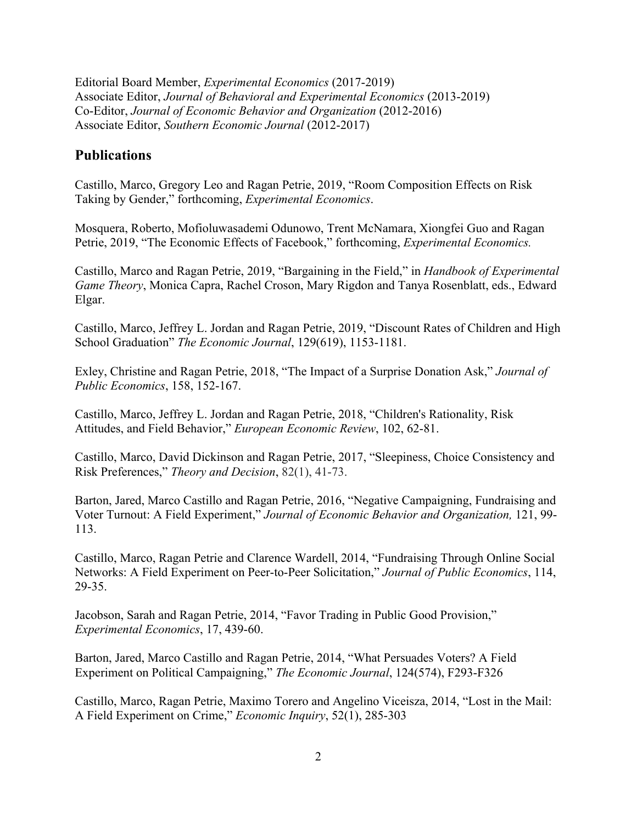Editorial Board Member, *Experimental Economics* (2017-2019) Associate Editor, *Journal of Behavioral and Experimental Economics* (2013-2019) Co-Editor, *Journal of Economic Behavior and Organization* (2012-2016) Associate Editor, *Southern Economic Journal* (2012-2017)

#### **Publications**

Castillo, Marco, Gregory Leo and Ragan Petrie, 2019, "Room Composition Effects on Risk Taking by Gender," forthcoming, *Experimental Economics*.

Mosquera, Roberto, Mofioluwasademi Odunowo, Trent McNamara, Xiongfei Guo and Ragan Petrie, 2019, "The Economic Effects of Facebook," forthcoming, *Experimental Economics.*

Castillo, Marco and Ragan Petrie, 2019, "Bargaining in the Field," in *Handbook of Experimental Game Theory*, Monica Capra, Rachel Croson, Mary Rigdon and Tanya Rosenblatt, eds., Edward Elgar.

Castillo, Marco, Jeffrey L. Jordan and Ragan Petrie, 2019, "Discount Rates of Children and High School Graduation" *The Economic Journal*, 129(619), 1153-1181.

Exley, Christine and Ragan Petrie, 2018, "The Impact of a Surprise Donation Ask," *Journal of Public Economics*, 158, 152-167.

Castillo, Marco, Jeffrey L. Jordan and Ragan Petrie, 2018, "Children's Rationality, Risk Attitudes, and Field Behavior," *European Economic Review*, 102, 62-81.

Castillo, Marco, David Dickinson and Ragan Petrie, 2017, "Sleepiness, Choice Consistency and Risk Preferences," *Theory and Decision*, 82(1), 41-73.

Barton, Jared, Marco Castillo and Ragan Petrie, 2016, "Negative Campaigning, Fundraising and Voter Turnout: A Field Experiment," *Journal of Economic Behavior and Organization,* 121, 99- 113.

Castillo, Marco, Ragan Petrie and Clarence Wardell, 2014, "Fundraising Through Online Social Networks: A Field Experiment on Peer-to-Peer Solicitation," *Journal of Public Economics*, 114, 29-35.

Jacobson, Sarah and Ragan Petrie, 2014, "Favor Trading in Public Good Provision," *Experimental Economics*, 17, 439-60.

Barton, Jared, Marco Castillo and Ragan Petrie, 2014, "What Persuades Voters? A Field Experiment on Political Campaigning," *The Economic Journal*, 124(574), F293-F326

Castillo, Marco, Ragan Petrie, Maximo Torero and Angelino Viceisza, 2014, "Lost in the Mail: A Field Experiment on Crime," *Economic Inquiry*, 52(1), 285-303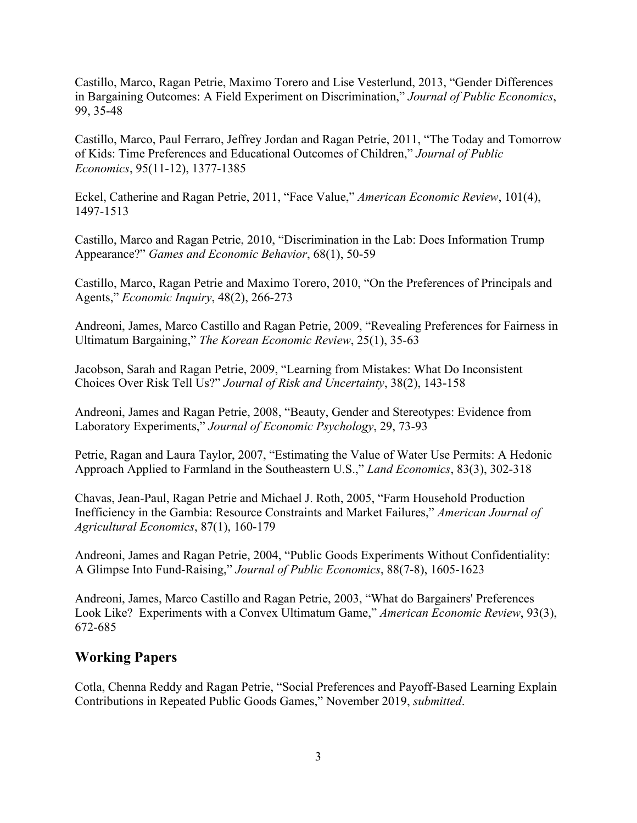Castillo, Marco, Ragan Petrie, Maximo Torero and Lise Vesterlund, 2013, "Gender Differences in Bargaining Outcomes: A Field Experiment on Discrimination," *Journal of Public Economics*, 99, 35-48

Castillo, Marco, Paul Ferraro, Jeffrey Jordan and Ragan Petrie, 2011, "The Today and Tomorrow of Kids: Time Preferences and Educational Outcomes of Children," *Journal of Public Economics*, 95(11-12), 1377-1385

Eckel, Catherine and Ragan Petrie, 2011, "Face Value," *American Economic Review*, 101(4), 1497-1513

Castillo, Marco and Ragan Petrie, 2010, "Discrimination in the Lab: Does Information Trump Appearance?" *Games and Economic Behavior*, 68(1), 50-59

Castillo, Marco, Ragan Petrie and Maximo Torero, 2010, "On the Preferences of Principals and Agents," *Economic Inquiry*, 48(2), 266-273

Andreoni, James, Marco Castillo and Ragan Petrie, 2009, "Revealing Preferences for Fairness in Ultimatum Bargaining," *The Korean Economic Review*, 25(1), 35-63

Jacobson, Sarah and Ragan Petrie, 2009, "Learning from Mistakes: What Do Inconsistent Choices Over Risk Tell Us?" *Journal of Risk and Uncertainty*, 38(2), 143-158

Andreoni, James and Ragan Petrie, 2008, "Beauty, Gender and Stereotypes: Evidence from Laboratory Experiments," *Journal of Economic Psychology*, 29, 73-93

Petrie, Ragan and Laura Taylor, 2007, "Estimating the Value of Water Use Permits: A Hedonic Approach Applied to Farmland in the Southeastern U.S.," *Land Economics*, 83(3), 302-318

Chavas, Jean-Paul, Ragan Petrie and Michael J. Roth, 2005, "Farm Household Production Inefficiency in the Gambia: Resource Constraints and Market Failures," *American Journal of Agricultural Economics*, 87(1), 160-179

Andreoni, James and Ragan Petrie, 2004, "Public Goods Experiments Without Confidentiality: A Glimpse Into Fund-Raising," *Journal of Public Economics*, 88(7-8), 1605-1623

Andreoni, James, Marco Castillo and Ragan Petrie, 2003, "What do Bargainers' Preferences Look Like? Experiments with a Convex Ultimatum Game," *American Economic Review*, 93(3), 672-685

## **Working Papers**

Cotla, Chenna Reddy and Ragan Petrie, "Social Preferences and Payoff-Based Learning Explain Contributions in Repeated Public Goods Games," November 2019, *submitted*.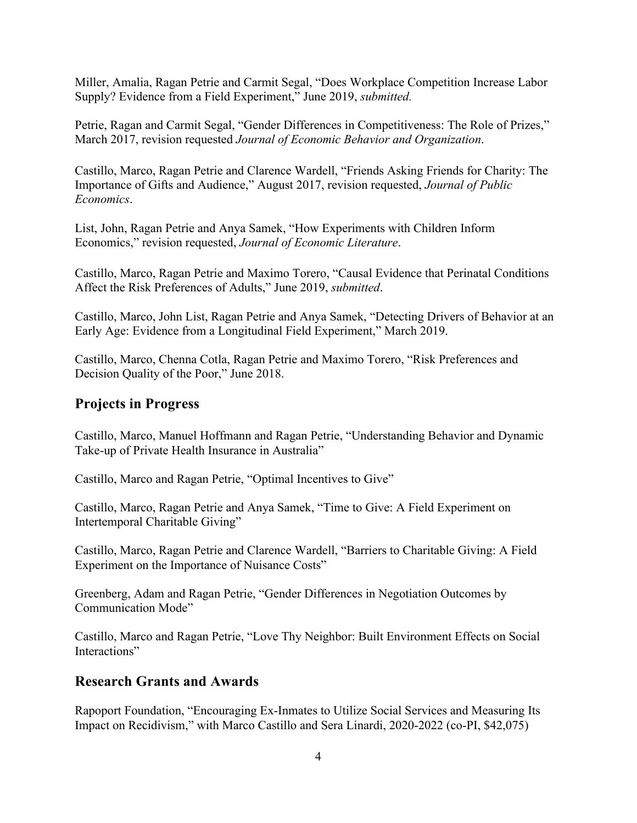Miller, Amalia, Ragan Petrie and Carmit Segal, "Does Workplace Competition Increase Labor Supply? Evidence from a Field Experiment," June 2019, *submitted.*

Petrie, Ragan and Carmit Segal, "Gender Differences in Competitiveness: The Role of Prizes," March 2017, revision requested *Journal of Economic Behavior and Organization*.

Castillo, Marco, Ragan Petrie and Clarence Wardell, "Friends Asking Friends for Charity: The Importance of Gifts and Audience," August 2017, revision requested, *Journal of Public Economics*.

List, John, Ragan Petrie and Anya Samek, "How Experiments with Children Inform Economics," revision requested, *Journal of Economic Literature*.

Castillo, Marco, Ragan Petrie and Maximo Torero, "Causal Evidence that Perinatal Conditions Affect the Risk Preferences of Adults," June 2019, *submitted*.

Castillo, Marco, John List, Ragan Petrie and Anya Samek, "Detecting Drivers of Behavior at an Early Age: Evidence from a Longitudinal Field Experiment," March 2019.

Castillo, Marco, Chenna Cotla, Ragan Petrie and Maximo Torero, "Risk Preferences and Decision Quality of the Poor," June 2018.

## **Projects in Progress**

Castillo, Marco, Manuel Hoffmann and Ragan Petrie, "Understanding Behavior and Dynamic Take-up of Private Health Insurance in Australia"

Castillo, Marco and Ragan Petrie, "Optimal Incentives to Give"

Castillo, Marco, Ragan Petrie and Anya Samek, "Time to Give: A Field Experiment on Intertemporal Charitable Giving"

Castillo, Marco, Ragan Petrie and Clarence Wardell, "Barriers to Charitable Giving: A Field Experiment on the Importance of Nuisance Costs"

Greenberg, Adam and Ragan Petrie, "Gender Differences in Negotiation Outcomes by Communication Mode"

Castillo, Marco and Ragan Petrie, "Love Thy Neighbor: Built Environment Effects on Social Interactions"

# **Research Grants and Awards**

Rapoport Foundation, "Encouraging Ex-Inmates to Utilize Social Services and Measuring Its Impact on Recidivism," with Marco Castillo and Sera Linardi, 2020-2022 (co-PI, \$42,075)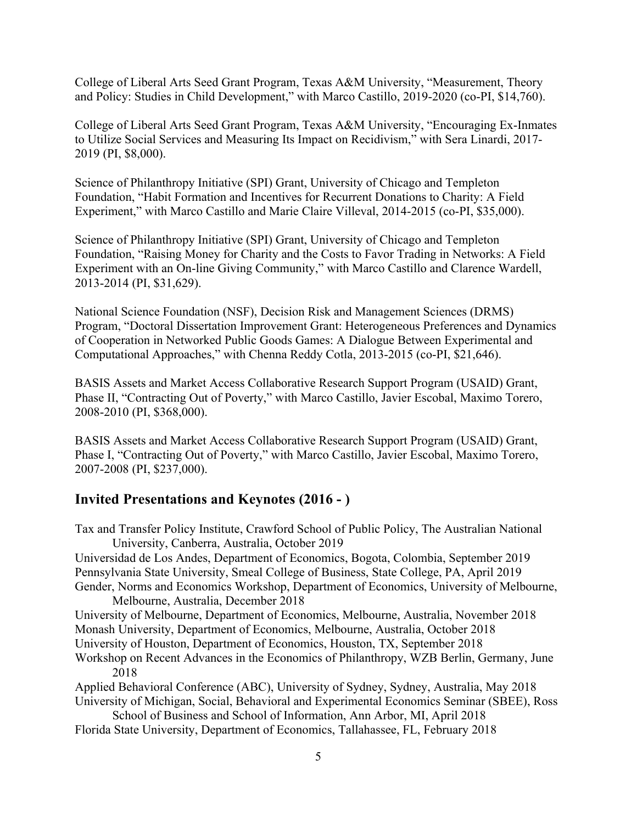College of Liberal Arts Seed Grant Program, Texas A&M University, "Measurement, Theory and Policy: Studies in Child Development," with Marco Castillo, 2019-2020 (co-PI, \$14,760).

College of Liberal Arts Seed Grant Program, Texas A&M University, "Encouraging Ex-Inmates to Utilize Social Services and Measuring Its Impact on Recidivism," with Sera Linardi, 2017- 2019 (PI, \$8,000).

Science of Philanthropy Initiative (SPI) Grant, University of Chicago and Templeton Foundation, "Habit Formation and Incentives for Recurrent Donations to Charity: A Field Experiment," with Marco Castillo and Marie Claire Villeval, 2014-2015 (co-PI, \$35,000).

Science of Philanthropy Initiative (SPI) Grant, University of Chicago and Templeton Foundation, "Raising Money for Charity and the Costs to Favor Trading in Networks: A Field Experiment with an On-line Giving Community," with Marco Castillo and Clarence Wardell, 2013-2014 (PI, \$31,629).

National Science Foundation (NSF), Decision Risk and Management Sciences (DRMS) Program, "Doctoral Dissertation Improvement Grant: Heterogeneous Preferences and Dynamics of Cooperation in Networked Public Goods Games: A Dialogue Between Experimental and Computational Approaches," with Chenna Reddy Cotla, 2013-2015 (co-PI, \$21,646).

BASIS Assets and Market Access Collaborative Research Support Program (USAID) Grant, Phase II, "Contracting Out of Poverty," with Marco Castillo, Javier Escobal, Maximo Torero, 2008-2010 (PI, \$368,000).

BASIS Assets and Market Access Collaborative Research Support Program (USAID) Grant, Phase I, "Contracting Out of Poverty," with Marco Castillo, Javier Escobal, Maximo Torero, 2007-2008 (PI, \$237,000).

# **Invited Presentations and Keynotes (2016 - )**

Tax and Transfer Policy Institute, Crawford School of Public Policy, The Australian National University, Canberra, Australia, October 2019 Universidad de Los Andes, Department of Economics, Bogota, Colombia, September 2019 Pennsylvania State University, Smeal College of Business, State College, PA, April 2019 Gender, Norms and Economics Workshop, Department of Economics, University of Melbourne, Melbourne, Australia, December 2018 University of Melbourne, Department of Economics, Melbourne, Australia, November 2018 Monash University, Department of Economics, Melbourne, Australia, October 2018 University of Houston, Department of Economics, Houston, TX, September 2018 Workshop on Recent Advances in the Economics of Philanthropy, WZB Berlin, Germany, June 2018 Applied Behavioral Conference (ABC), University of Sydney, Sydney, Australia, May 2018 University of Michigan, Social, Behavioral and Experimental Economics Seminar (SBEE), Ross School of Business and School of Information, Ann Arbor, MI, April 2018 Florida State University, Department of Economics, Tallahassee, FL, February 2018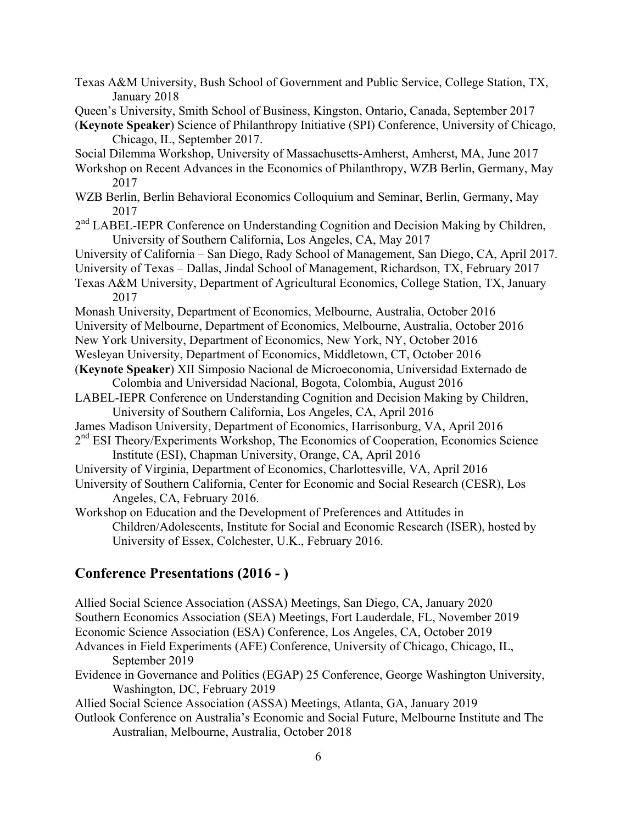Texas A&M University, Bush School of Government and Public Service, College Station, TX, January 2018

- Queen's University, Smith School of Business, Kingston, Ontario, Canada, September 2017
- (**Keynote Speaker**) Science of Philanthropy Initiative (SPI) Conference, University of Chicago, Chicago, IL, September 2017.

Social Dilemma Workshop, University of Massachusetts-Amherst, Amherst, MA, June 2017

- Workshop on Recent Advances in the Economics of Philanthropy, WZB Berlin, Germany, May 2017
- WZB Berlin, Berlin Behavioral Economics Colloquium and Seminar, Berlin, Germany, May 2017
- 2<sup>nd</sup> LABEL-IEPR Conference on Understanding Cognition and Decision Making by Children, University of Southern California, Los Angeles, CA, May 2017
- University of California San Diego, Rady School of Management, San Diego, CA, April 2017.
- University of Texas Dallas, Jindal School of Management, Richardson, TX, February 2017
- Texas A&M University, Department of Agricultural Economics, College Station, TX, January 2017
- Monash University, Department of Economics, Melbourne, Australia, October 2016
- University of Melbourne, Department of Economics, Melbourne, Australia, October 2016
- New York University, Department of Economics, New York, NY, October 2016
- Wesleyan University, Department of Economics, Middletown, CT, October 2016
- (**Keynote Speaker**) XII Simposio Nacional de Microeconomia, Universidad Externado de Colombia and Universidad Nacional, Bogota, Colombia, August 2016
- LABEL-IEPR Conference on Understanding Cognition and Decision Making by Children, University of Southern California, Los Angeles, CA, April 2016
- James Madison University, Department of Economics, Harrisonburg, VA, April 2016
- 2<sup>nd</sup> ESI Theory/Experiments Workshop, The Economics of Cooperation, Economics Science Institute (ESI), Chapman University, Orange, CA, April 2016
- University of Virginia, Department of Economics, Charlottesville, VA, April 2016
- University of Southern California, Center for Economic and Social Research (CESR), Los Angeles, CA, February 2016.

Workshop on Education and the Development of Preferences and Attitudes in Children/Adolescents, Institute for Social and Economic Research (ISER), hosted by University of Essex, Colchester, U.K., February 2016.

#### **Conference Presentations (2016 - )**

Allied Social Science Association (ASSA) Meetings, San Diego, CA, January 2020 Southern Economics Association (SEA) Meetings, Fort Lauderdale, FL, November 2019 Economic Science Association (ESA) Conference, Los Angeles, CA, October 2019 Advances in Field Experiments (AFE) Conference, University of Chicago, Chicago, IL, September 2019 Evidence in Governance and Politics (EGAP) 25 Conference, George Washington University, Washington, DC, February 2019 Allied Social Science Association (ASSA) Meetings, Atlanta, GA, January 2019 Outlook Conference on Australia's Economic and Social Future, Melbourne Institute and The Australian, Melbourne, Australia, October 2018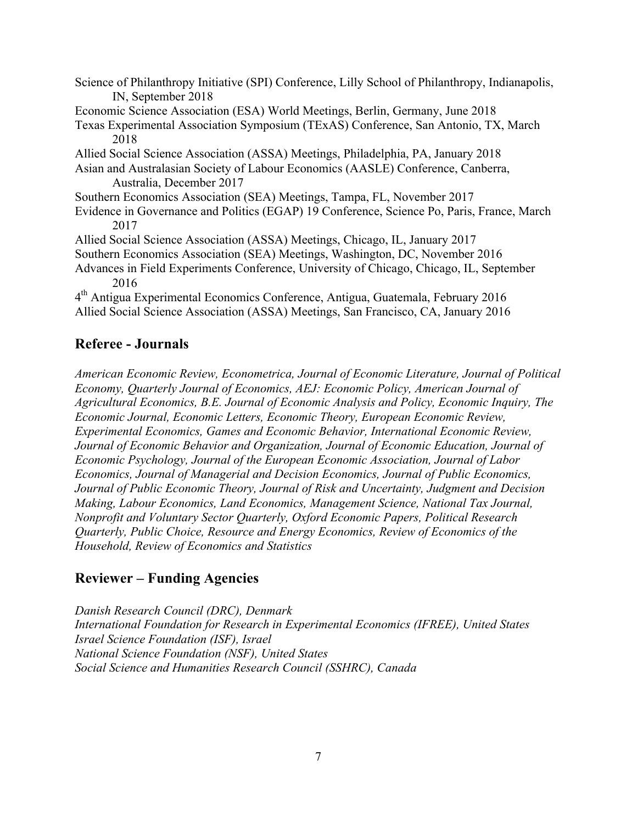Science of Philanthropy Initiative (SPI) Conference, Lilly School of Philanthropy, Indianapolis, IN, September 2018 Economic Science Association (ESA) World Meetings, Berlin, Germany, June 2018 Texas Experimental Association Symposium (TExAS) Conference, San Antonio, TX, March 2018 Allied Social Science Association (ASSA) Meetings, Philadelphia, PA, January 2018 Asian and Australasian Society of Labour Economics (AASLE) Conference, Canberra, Australia, December 2017 Southern Economics Association (SEA) Meetings, Tampa, FL, November 2017 Evidence in Governance and Politics (EGAP) 19 Conference, Science Po, Paris, France, March 2017 Allied Social Science Association (ASSA) Meetings, Chicago, IL, January 2017 Southern Economics Association (SEA) Meetings, Washington, DC, November 2016 Advances in Field Experiments Conference, University of Chicago, Chicago, IL, September 2016 4th Antigua Experimental Economics Conference, Antigua, Guatemala, February 2016 Allied Social Science Association (ASSA) Meetings, San Francisco, CA, January 2016

## **Referee - Journals**

*American Economic Review, Econometrica, Journal of Economic Literature, Journal of Political Economy, Quarterly Journal of Economics, AEJ: Economic Policy, American Journal of Agricultural Economics, B.E. Journal of Economic Analysis and Policy, Economic Inquiry, The Economic Journal, Economic Letters, Economic Theory, European Economic Review, Experimental Economics, Games and Economic Behavior, International Economic Review, Journal of Economic Behavior and Organization, Journal of Economic Education, Journal of Economic Psychology, Journal of the European Economic Association, Journal of Labor Economics, Journal of Managerial and Decision Economics, Journal of Public Economics, Journal of Public Economic Theory, Journal of Risk and Uncertainty, Judgment and Decision Making, Labour Economics, Land Economics, Management Science, National Tax Journal, Nonprofit and Voluntary Sector Quarterly, Oxford Economic Papers, Political Research Quarterly, Public Choice, Resource and Energy Economics, Review of Economics of the Household, Review of Economics and Statistics*

## **Reviewer – Funding Agencies**

*Danish Research Council (DRC), Denmark International Foundation for Research in Experimental Economics (IFREE), United States Israel Science Foundation (ISF), Israel National Science Foundation (NSF), United States Social Science and Humanities Research Council (SSHRC), Canada*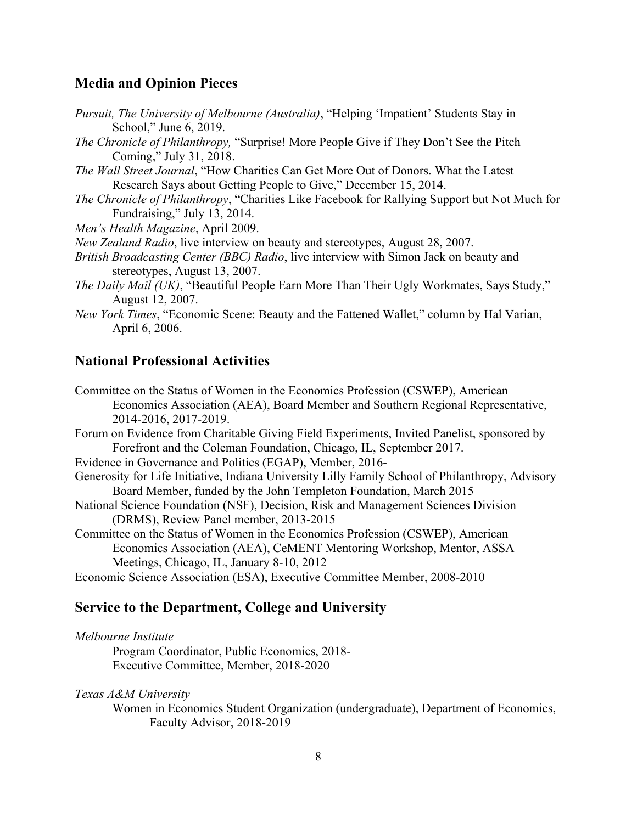#### **Media and Opinion Pieces**

| <i>Pursuit, The University of Melbourne (Australia)</i> , "Helping 'Impatient' Students Stay in |  |  |  |
|-------------------------------------------------------------------------------------------------|--|--|--|
| School," June 6, 2019.                                                                          |  |  |  |

*The Chronicle of Philanthropy,* "Surprise! More People Give if They Don't See the Pitch Coming," July 31, 2018.

*The Wall Street Journal*, "How Charities Can Get More Out of Donors. What the Latest Research Says about Getting People to Give," December 15, 2014.

*The Chronicle of Philanthropy*, "Charities Like Facebook for Rallying Support but Not Much for Fundraising," July 13, 2014.

*Men's Health Magazine*, April 2009.

*New Zealand Radio*, live interview on beauty and stereotypes, August 28, 2007.

*British Broadcasting Center (BBC) Radio*, live interview with Simon Jack on beauty and stereotypes, August 13, 2007.

*The Daily Mail (UK)*, "Beautiful People Earn More Than Their Ugly Workmates, Says Study," August 12, 2007.

*New York Times*, "Economic Scene: Beauty and the Fattened Wallet," column by Hal Varian, April 6, 2006.

#### **National Professional Activities**

Committee on the Status of Women in the Economics Profession (CSWEP), American Economics Association (AEA), Board Member and Southern Regional Representative, 2014-2016, 2017-2019.

Forum on Evidence from Charitable Giving Field Experiments, Invited Panelist, sponsored by Forefront and the Coleman Foundation, Chicago, IL, September 2017.

Evidence in Governance and Politics (EGAP), Member, 2016-

Generosity for Life Initiative, Indiana University Lilly Family School of Philanthropy, Advisory Board Member, funded by the John Templeton Foundation, March 2015 –

National Science Foundation (NSF), Decision, Risk and Management Sciences Division (DRMS), Review Panel member, 2013-2015

Committee on the Status of Women in the Economics Profession (CSWEP), American Economics Association (AEA), CeMENT Mentoring Workshop, Mentor, ASSA Meetings, Chicago, IL, January 8-10, 2012

Economic Science Association (ESA), Executive Committee Member, 2008-2010

#### **Service to the Department, College and University**

*Melbourne Institute*

Program Coordinator, Public Economics, 2018- Executive Committee, Member, 2018-2020

*Texas A&M University*

Women in Economics Student Organization (undergraduate), Department of Economics, Faculty Advisor, 2018-2019